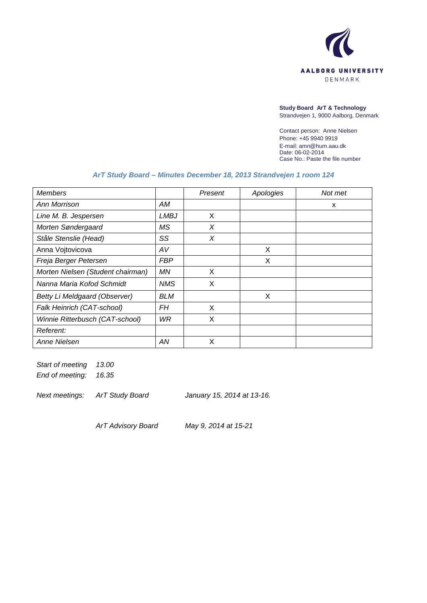

**Study Board ArT & Technology** Strandvejen 1, 9000 Aalborg, Denmark

Contact person: Anne Nielsen Phone: +45 9940 9919 E-mail: amn@hum.aau.dk Date: 06-02-2014 Case No.: Paste the file number

## *ArT Study Board – Minutes December 18, 2013 Strandvejen 1 room 124*

| <b>Members</b>                    |            | Present | Apologies | Not met |
|-----------------------------------|------------|---------|-----------|---------|
| Ann Morrison                      | АM         |         |           | X       |
| Line M. B. Jespersen              | LMBJ       | X       |           |         |
| Morten Søndergaard                | ΜS         | X       |           |         |
| Ståle Stenslie (Head)             | SS         | X       |           |         |
| Anna Vojtovicova                  | AV         |         | X         |         |
| Freja Berger Petersen             | <b>FBP</b> |         | X         |         |
| Morten Nielsen (Student chairman) | ΜN         | X       |           |         |
| Nanna Maria Kofod Schmidt         | <b>NMS</b> | X       |           |         |
| Betty Li Meldgaard (Observer)     | <b>BLM</b> |         | X         |         |
| Falk Heinrich (CAT-school)        | FH         | X       |           |         |
| Winnie Ritterbusch (CAT-school)   | WR         | X       |           |         |
| Referent:                         |            |         |           |         |
| Anne Nielsen                      | AN         | X       |           |         |

*Start of meeting 13.00 End of meeting: 16.35 Next meetings: ArT Study Board January 15, 2014 at 13-16.*

*ArT Advisory Board May 9, 2014 at 15-21*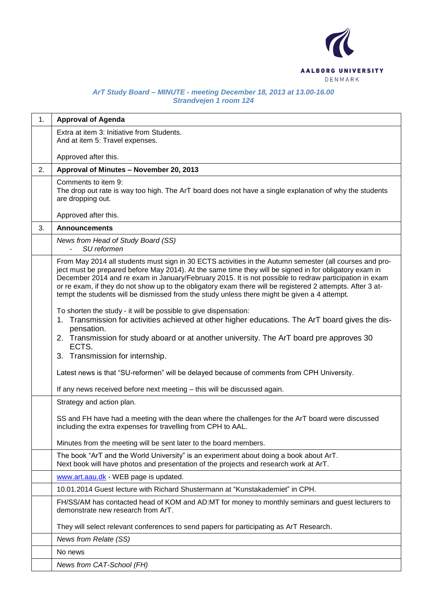

## *ArT Study Board – MINUTE - meeting December 18, 2013 at 13.00-16.00 Strandvejen 1 room 124*

| 1. | <b>Approval of Agenda</b>                                                                                                                                                                                                                                                                                                                                                                                                                                                                                                                 |
|----|-------------------------------------------------------------------------------------------------------------------------------------------------------------------------------------------------------------------------------------------------------------------------------------------------------------------------------------------------------------------------------------------------------------------------------------------------------------------------------------------------------------------------------------------|
|    |                                                                                                                                                                                                                                                                                                                                                                                                                                                                                                                                           |
|    | Extra at item 3: Initiative from Students.<br>And at item 5: Travel expenses.                                                                                                                                                                                                                                                                                                                                                                                                                                                             |
|    | Approved after this.                                                                                                                                                                                                                                                                                                                                                                                                                                                                                                                      |
| 2. | Approval of Minutes - November 20, 2013                                                                                                                                                                                                                                                                                                                                                                                                                                                                                                   |
|    | Comments to item 9:<br>The drop out rate is way too high. The ArT board does not have a single explanation of why the students<br>are dropping out.                                                                                                                                                                                                                                                                                                                                                                                       |
|    | Approved after this.                                                                                                                                                                                                                                                                                                                                                                                                                                                                                                                      |
| 3. | <b>Announcements</b>                                                                                                                                                                                                                                                                                                                                                                                                                                                                                                                      |
|    | News from Head of Study Board (SS)<br>SU reformen                                                                                                                                                                                                                                                                                                                                                                                                                                                                                         |
|    | From May 2014 all students must sign in 30 ECTS activities in the Autumn semester (all courses and pro-<br>ject must be prepared before May 2014). At the same time they will be signed in for obligatory exam in<br>December 2014 and re exam in January/February 2015. It is not possible to redraw participation in exam<br>or re exam, if they do not show up to the obligatory exam there will be registered 2 attempts. After 3 at-<br>tempt the students will be dismissed from the study unless there might be given a 4 attempt. |
|    | To shorten the study - it will be possible to give dispensation:<br>1. Transmission for activities achieved at other higher educations. The ArT board gives the dis-<br>pensation.<br>2. Transmission for study aboard or at another university. The ArT board pre approves 30<br>ECTS.<br>3. Transmission for internship.                                                                                                                                                                                                                |
|    | Latest news is that "SU-reformen" will be delayed because of comments from CPH University.                                                                                                                                                                                                                                                                                                                                                                                                                                                |
|    | If any news received before next meeting - this will be discussed again.                                                                                                                                                                                                                                                                                                                                                                                                                                                                  |
|    | Strategy and action plan.                                                                                                                                                                                                                                                                                                                                                                                                                                                                                                                 |
|    | SS and FH have had a meeting with the dean where the challenges for the ArT board were discussed<br>including the extra expenses for travelling from CPH to AAL.                                                                                                                                                                                                                                                                                                                                                                          |
|    | Minutes from the meeting will be sent later to the board members.                                                                                                                                                                                                                                                                                                                                                                                                                                                                         |
|    | The book "ArT and the World University" is an experiment about doing a book about ArT.<br>Next book will have photos and presentation of the projects and research work at ArT.                                                                                                                                                                                                                                                                                                                                                           |
|    | www.art.aau.dk - WEB page is updated.                                                                                                                                                                                                                                                                                                                                                                                                                                                                                                     |
|    | 10.01.2014 Guest lecture with Richard Shustermann at "Kunstakademiet" in CPH.                                                                                                                                                                                                                                                                                                                                                                                                                                                             |
|    | FH/SS/AM has contacted head of KOM and AD:MT for money to monthly seminars and guest lecturers to<br>demonstrate new research from ArT.                                                                                                                                                                                                                                                                                                                                                                                                   |
|    | They will select relevant conferences to send papers for participating as ArT Research.                                                                                                                                                                                                                                                                                                                                                                                                                                                   |
|    | News from Relate (SS)                                                                                                                                                                                                                                                                                                                                                                                                                                                                                                                     |
|    | No news                                                                                                                                                                                                                                                                                                                                                                                                                                                                                                                                   |
|    | News from CAT-School (FH)                                                                                                                                                                                                                                                                                                                                                                                                                                                                                                                 |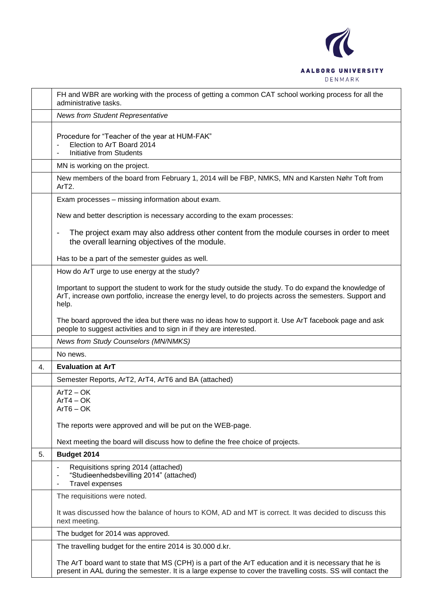

|    | FH and WBR are working with the process of getting a common CAT school working process for all the<br>administrative tasks.                                                                                                  |
|----|------------------------------------------------------------------------------------------------------------------------------------------------------------------------------------------------------------------------------|
|    | <b>News from Student Representative</b>                                                                                                                                                                                      |
|    | Procedure for "Teacher of the year at HUM-FAK"<br>Election to ArT Board 2014<br><b>Initiative from Students</b><br>$\blacksquare$                                                                                            |
|    | MN is working on the project.                                                                                                                                                                                                |
|    | New members of the board from February 1, 2014 will be FBP, NMKS, MN and Karsten Nøhr Toft from<br>ArT <sub>2</sub> .                                                                                                        |
|    | Exam processes - missing information about exam.                                                                                                                                                                             |
|    | New and better description is necessary according to the exam processes:                                                                                                                                                     |
|    | The project exam may also address other content from the module courses in order to meet<br>$\overline{a}$<br>the overall learning objectives of the module.                                                                 |
|    | Has to be a part of the semester guides as well.                                                                                                                                                                             |
|    | How do ArT urge to use energy at the study?                                                                                                                                                                                  |
|    | Important to support the student to work for the study outside the study. To do expand the knowledge of<br>ArT, increase own portfolio, increase the energy level, to do projects across the semesters. Support and<br>help. |
|    | The board approved the idea but there was no ideas how to support it. Use ArT facebook page and ask<br>people to suggest activities and to sign in if they are interested.                                                   |
|    | News from Study Counselors (MN/NMKS)                                                                                                                                                                                         |
|    | No news.                                                                                                                                                                                                                     |
| 4. | <b>Evaluation at ArT</b>                                                                                                                                                                                                     |
|    | Semester Reports, ArT2, ArT4, ArT6 and BA (attached)                                                                                                                                                                         |
|    | $ArT2 - OK$<br>$ArT4 - OK$<br>$ArT6 - OK$                                                                                                                                                                                    |
|    | The reports were approved and will be put on the WEB-page.                                                                                                                                                                   |
|    | Next meeting the board will discuss how to define the free choice of projects.                                                                                                                                               |
| 5. | Budget 2014                                                                                                                                                                                                                  |
|    | Requisitions spring 2014 (attached)<br>$\overline{\phantom{a}}$<br>"Studieenhedsbevilling 2014" (attached)<br>$\overline{\phantom{a}}$<br>Travel expenses<br>$\overline{\phantom{a}}$                                        |
|    | The requisitions were noted.                                                                                                                                                                                                 |
|    | It was discussed how the balance of hours to KOM, AD and MT is correct. It was decided to discuss this<br>next meeting.                                                                                                      |
|    | The budget for 2014 was approved.                                                                                                                                                                                            |
|    | The travelling budget for the entire 2014 is 30.000 d.kr.                                                                                                                                                                    |
|    | The ArT board want to state that MS (CPH) is a part of the ArT education and it is necessary that he is<br>present in AAL during the semester. It is a large expense to cover the travelling costs. SS will contact the      |